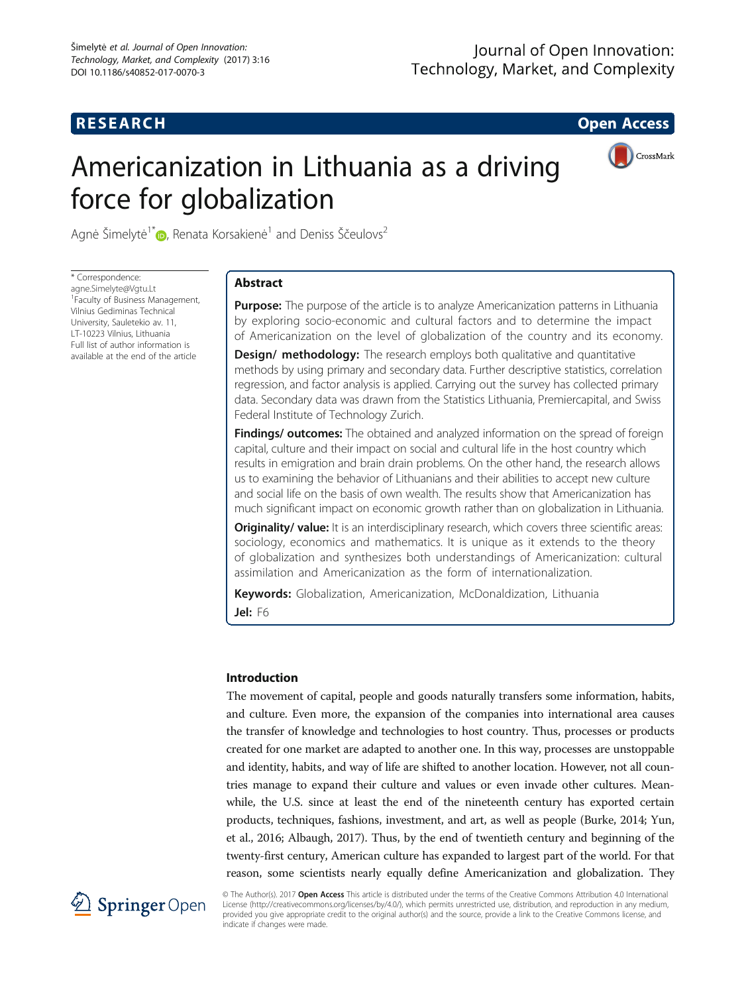# **RESEARCH RESEARCH CONSUMING ACCESS**

# Americanization in Lithuania as a driving force for globalization



Agnė Šimelytė<sup>1[\\*](http://orcid.org/0000-0002-9475-9645)</sup> $\odot$ , Renata Korsakienė<sup>1</sup> and Deniss Ščeulovs<sup>2</sup>

\* Correspondence: [agne.Simelyte@Vgtu.Lt](mailto:agne.Simelyte@Vgtu.Lt) <sup>1</sup> Faculty of Business Management, Vilnius Gediminas Technical University, Sauletekio av. 11, LT-10223 Vilnius, Lithuania Full list of author information is available at the end of the article

# Abstract

**Purpose:** The purpose of the article is to analyze Americanization patterns in Lithuania by exploring socio-economic and cultural factors and to determine the impact of Americanization on the level of globalization of the country and its economy.

**Design/ methodology:** The research employs both qualitative and quantitative methods by using primary and secondary data. Further descriptive statistics, correlation regression, and factor analysis is applied. Carrying out the survey has collected primary data. Secondary data was drawn from the Statistics Lithuania, Premiercapital, and Swiss Federal Institute of Technology Zurich.

**Findings/ outcomes:** The obtained and analyzed information on the spread of foreign capital, culture and their impact on social and cultural life in the host country which results in emigration and brain drain problems. On the other hand, the research allows us to examining the behavior of Lithuanians and their abilities to accept new culture and social life on the basis of own wealth. The results show that Americanization has much significant impact on economic growth rather than on globalization in Lithuania.

Originality/ value: It is an interdisciplinary research, which covers three scientific areas: sociology, economics and mathematics. It is unique as it extends to the theory of globalization and synthesizes both understandings of Americanization: cultural assimilation and Americanization as the form of internationalization.

**Keywords:** Globalization, Americanization, McDonaldization, Lithuania Jel: F6

# Introduction

The movement of capital, people and goods naturally transfers some information, habits, and culture. Even more, the expansion of the companies into international area causes the transfer of knowledge and technologies to host country. Thus, processes or products created for one market are adapted to another one. In this way, processes are unstoppable and identity, habits, and way of life are shifted to another location. However, not all countries manage to expand their culture and values or even invade other cultures. Meanwhile, the U.S. since at least the end of the nineteenth century has exported certain products, techniques, fashions, investment, and art, as well as people (Burke, [2014;](#page-12-0) Yun, et al., [2016;](#page-12-0) Albaugh, [2017](#page-12-0)). Thus, by the end of twentieth century and beginning of the twenty-first century, American culture has expanded to largest part of the world. For that reason, some scientists nearly equally define Americanization and globalization. They



© The Author(s). 2017 Open Access This article is distributed under the terms of the Creative Commons Attribution 4.0 International License [\(http://creativecommons.org/licenses/by/4.0/](http://creativecommons.org/licenses/by/4.0/)), which permits unrestricted use, distribution, and reproduction in any medium, provided you give appropriate credit to the original author(s) and the source, provide a link to the Creative Commons license, and indicate if changes were made.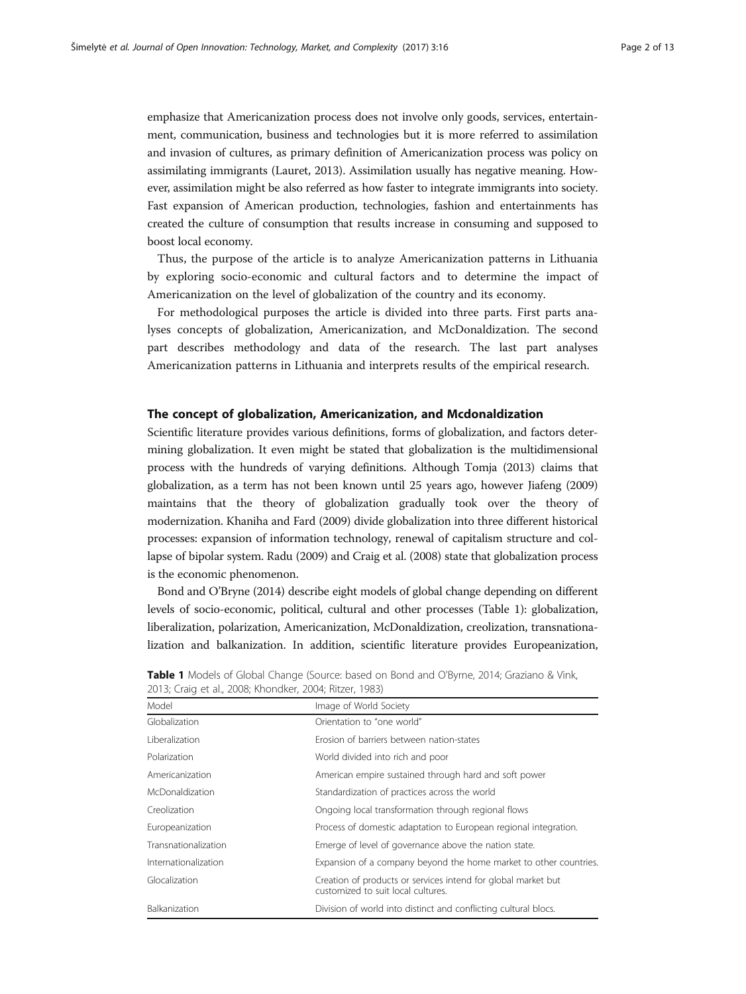emphasize that Americanization process does not involve only goods, services, entertainment, communication, business and technologies but it is more referred to assimilation and invasion of cultures, as primary definition of Americanization process was policy on assimilating immigrants (Lauret, [2013\)](#page-12-0). Assimilation usually has negative meaning. However, assimilation might be also referred as how faster to integrate immigrants into society. Fast expansion of American production, technologies, fashion and entertainments has created the culture of consumption that results increase in consuming and supposed to boost local economy.

Thus, the purpose of the article is to analyze Americanization patterns in Lithuania by exploring socio-economic and cultural factors and to determine the impact of Americanization on the level of globalization of the country and its economy.

For methodological purposes the article is divided into three parts. First parts analyses concepts of globalization, Americanization, and McDonaldization. The second part describes methodology and data of the research. The last part analyses Americanization patterns in Lithuania and interprets results of the empirical research.

## The concept of globalization, Americanization, and Mcdonaldization

Scientific literature provides various definitions, forms of globalization, and factors determining globalization. It even might be stated that globalization is the multidimensional process with the hundreds of varying definitions. Although Tomja ([2013](#page-12-0)) claims that globalization, as a term has not been known until 25 years ago, however Jiafeng [\(2009](#page-12-0)) maintains that the theory of globalization gradually took over the theory of modernization. Khaniha and Fard ([2009](#page-12-0)) divide globalization into three different historical processes: expansion of information technology, renewal of capitalism structure and collapse of bipolar system. Radu [\(2009\)](#page-12-0) and Craig et al. [\(2008](#page-12-0)) state that globalization process is the economic phenomenon.

Bond and O'Bryne [\(2014](#page-12-0)) describe eight models of global change depending on different levels of socio-economic, political, cultural and other processes (Table 1): globalization, liberalization, polarization, Americanization, McDonaldization, creolization, transnationalization and balkanization. In addition, scientific literature provides Europeanization,

| Model                | Image of World Society                                                                              |
|----------------------|-----------------------------------------------------------------------------------------------------|
| Globalization        | Orientation to "one world"                                                                          |
| Liberalization       | Frosion of barriers between nation-states                                                           |
| Polarization         | World divided into rich and poor                                                                    |
| Americanization      | American empire sustained through hard and soft power                                               |
| McDonaldization      | Standardization of practices across the world                                                       |
| Creolization         | Ongoing local transformation through regional flows                                                 |
| Europeanization      | Process of domestic adaptation to European regional integration.                                    |
| Transnationalization | Emerge of level of governance above the nation state.                                               |
| Internationalization | Expansion of a company beyond the home market to other countries.                                   |
| Glocalization        | Creation of products or services intend for global market but<br>customized to suit local cultures. |
| Balkanization        | Division of world into distinct and conflicting cultural blocs.                                     |

Table 1 Models of Global Change (Source: based on Bond and O'Byrne, [2014](#page-12-0); Graziano & Vink, [2013;](#page-12-0) Craig et al., [2008;](#page-12-0) Khondker, [2004;](#page-12-0) Ritzer, [1983\)](#page-12-0)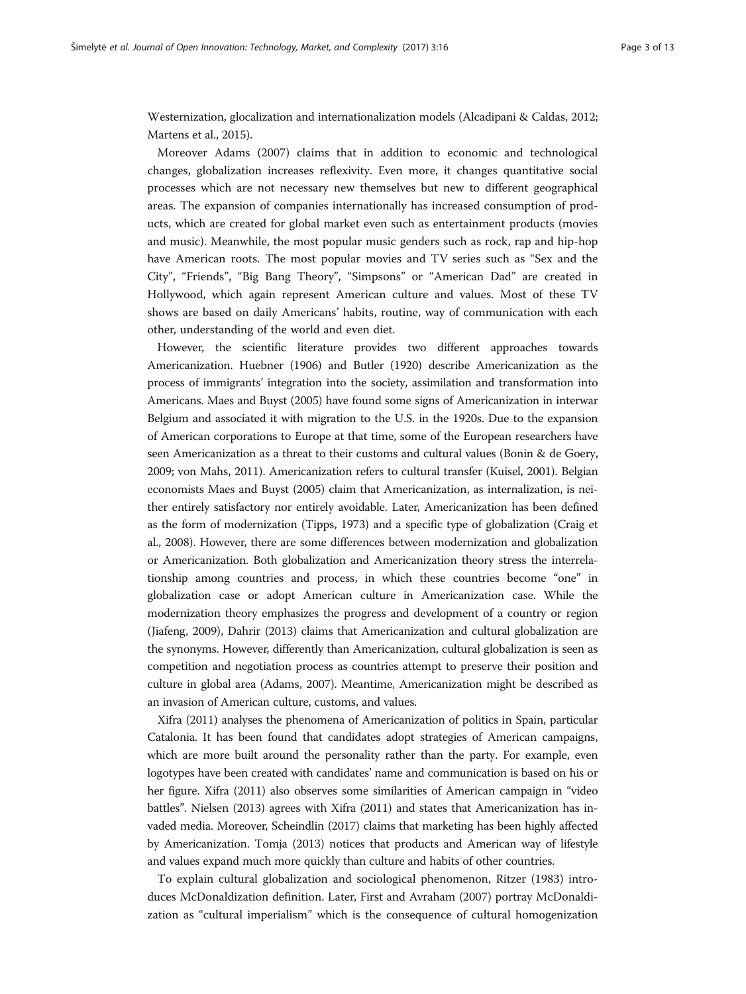Westernization, glocalization and internationalization models (Alcadipani & Caldas, [2012](#page-12-0); Martens et al., [2015](#page-12-0)).

Moreover Adams ([2007](#page-12-0)) claims that in addition to economic and technological changes, globalization increases reflexivity. Even more, it changes quantitative social processes which are not necessary new themselves but new to different geographical areas. The expansion of companies internationally has increased consumption of products, which are created for global market even such as entertainment products (movies and music). Meanwhile, the most popular music genders such as rock, rap and hip-hop have American roots. The most popular movies and TV series such as "Sex and the City", "Friends", "Big Bang Theory", "Simpsons" or "American Dad" are created in Hollywood, which again represent American culture and values. Most of these TV shows are based on daily Americans' habits, routine, way of communication with each other, understanding of the world and even diet.

However, the scientific literature provides two different approaches towards Americanization. Huebner ([1906\)](#page-12-0) and Butler ([1920\)](#page-12-0) describe Americanization as the process of immigrants' integration into the society, assimilation and transformation into Americans. Maes and Buyst [\(2005](#page-12-0)) have found some signs of Americanization in interwar Belgium and associated it with migration to the U.S. in the 1920s. Due to the expansion of American corporations to Europe at that time, some of the European researchers have seen Americanization as a threat to their customs and cultural values (Bonin & de Goery, [2009;](#page-12-0) von Mahs, [2011\)](#page-12-0). Americanization refers to cultural transfer (Kuisel, [2001](#page-12-0)). Belgian economists Maes and Buyst [\(2005](#page-12-0)) claim that Americanization, as internalization, is neither entirely satisfactory nor entirely avoidable. Later, Americanization has been defined as the form of modernization (Tipps, [1973\)](#page-12-0) and a specific type of globalization (Craig et al., [2008](#page-12-0)). However, there are some differences between modernization and globalization or Americanization. Both globalization and Americanization theory stress the interrelationship among countries and process, in which these countries become "one" in globalization case or adopt American culture in Americanization case. While the modernization theory emphasizes the progress and development of a country or region (Jiafeng, [2009](#page-12-0)), Dahrir ([2013\)](#page-12-0) claims that Americanization and cultural globalization are the synonyms. However, differently than Americanization, cultural globalization is seen as competition and negotiation process as countries attempt to preserve their position and culture in global area (Adams, [2007\)](#page-12-0). Meantime, Americanization might be described as an invasion of American culture, customs, and values.

Xifra ([2011\)](#page-12-0) analyses the phenomena of Americanization of politics in Spain, particular Catalonia. It has been found that candidates adopt strategies of American campaigns, which are more built around the personality rather than the party. For example, even logotypes have been created with candidates' name and communication is based on his or her figure. Xifra ([2011](#page-12-0)) also observes some similarities of American campaign in "video battles". Nielsen [\(2013](#page-12-0)) agrees with Xifra ([2011](#page-12-0)) and states that Americanization has invaded media. Moreover, Scheindlin [\(2017](#page-12-0)) claims that marketing has been highly affected by Americanization. Tomja ([2013\)](#page-12-0) notices that products and American way of lifestyle and values expand much more quickly than culture and habits of other countries.

To explain cultural globalization and sociological phenomenon, Ritzer [\(1983](#page-12-0)) introduces McDonaldization definition. Later, First and Avraham ([2007](#page-12-0)) portray McDonaldization as "cultural imperialism" which is the consequence of cultural homogenization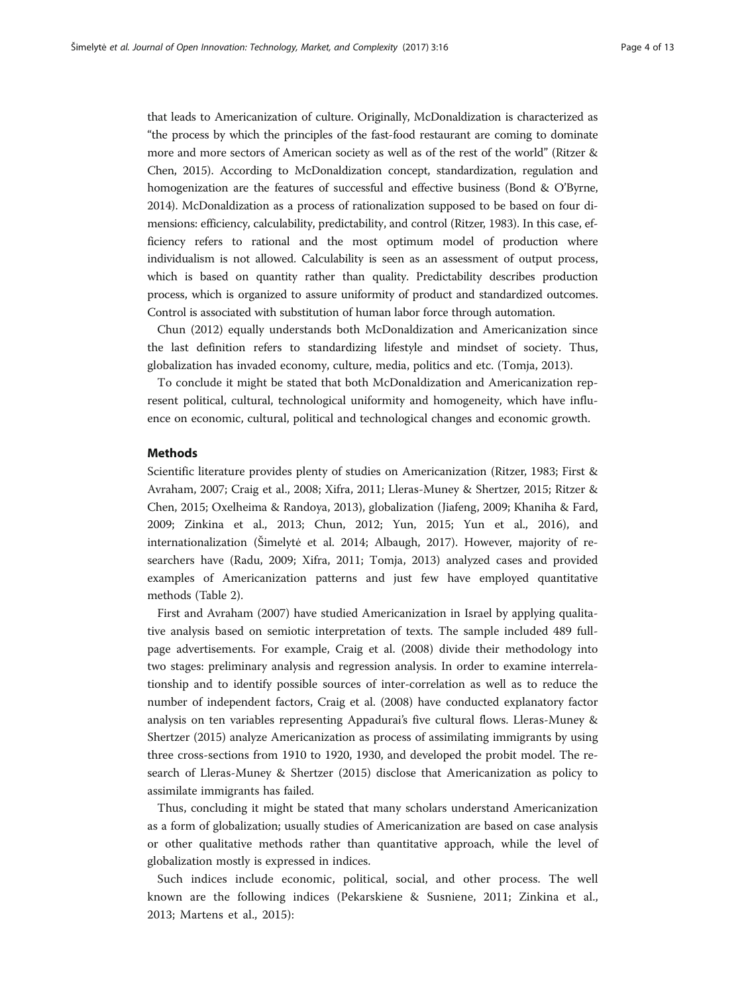that leads to Americanization of culture. Originally, McDonaldization is characterized as "the process by which the principles of the fast-food restaurant are coming to dominate more and more sectors of American society as well as of the rest of the world" (Ritzer & Chen, [2015](#page-12-0)). According to McDonaldization concept, standardization, regulation and homogenization are the features of successful and effective business (Bond & O'Byrne, [2014\)](#page-12-0). McDonaldization as a process of rationalization supposed to be based on four dimensions: efficiency, calculability, predictability, and control (Ritzer, [1983\)](#page-12-0). In this case, efficiency refers to rational and the most optimum model of production where individualism is not allowed. Calculability is seen as an assessment of output process, which is based on quantity rather than quality. Predictability describes production process, which is organized to assure uniformity of product and standardized outcomes. Control is associated with substitution of human labor force through automation.

Chun ([2012](#page-12-0)) equally understands both McDonaldization and Americanization since the last definition refers to standardizing lifestyle and mindset of society. Thus, globalization has invaded economy, culture, media, politics and etc. (Tomja, [2013](#page-12-0)).

To conclude it might be stated that both McDonaldization and Americanization represent political, cultural, technological uniformity and homogeneity, which have influence on economic, cultural, political and technological changes and economic growth.

## Methods

Scientific literature provides plenty of studies on Americanization (Ritzer, [1983;](#page-12-0) First & Avraham, [2007](#page-12-0); Craig et al., [2008](#page-12-0); Xifra, [2011;](#page-12-0) Lleras-Muney & Shertzer, [2015](#page-12-0); Ritzer & Chen, [2015](#page-12-0); Oxelheima & Randoya, [2013](#page-12-0)), globalization (Jiafeng, [2009](#page-12-0); Khaniha & Fard, [2009](#page-12-0); Zinkina et al., [2013;](#page-12-0) Chun, [2012](#page-12-0); Yun, [2015](#page-12-0); Yun et al., [2016](#page-12-0)), and internationalization (Šimelytė et al. [2014;](#page-12-0) Albaugh, [2017](#page-12-0)). However, majority of researchers have (Radu, [2009](#page-12-0); Xifra, [2011](#page-12-0); Tomja, [2013\)](#page-12-0) analyzed cases and provided examples of Americanization patterns and just few have employed quantitative methods (Table [2\)](#page-4-0).

First and Avraham ([2007](#page-12-0)) have studied Americanization in Israel by applying qualitative analysis based on semiotic interpretation of texts. The sample included 489 fullpage advertisements. For example, Craig et al. [\(2008](#page-12-0)) divide their methodology into two stages: preliminary analysis and regression analysis. In order to examine interrelationship and to identify possible sources of inter-correlation as well as to reduce the number of independent factors, Craig et al. [\(2008\)](#page-12-0) have conducted explanatory factor analysis on ten variables representing Appadurai's five cultural flows. Lleras-Muney & Shertzer ([2015](#page-12-0)) analyze Americanization as process of assimilating immigrants by using three cross-sections from 1910 to 1920, 1930, and developed the probit model. The research of Lleras-Muney & Shertzer [\(2015](#page-12-0)) disclose that Americanization as policy to assimilate immigrants has failed.

Thus, concluding it might be stated that many scholars understand Americanization as a form of globalization; usually studies of Americanization are based on case analysis or other qualitative methods rather than quantitative approach, while the level of globalization mostly is expressed in indices.

Such indices include economic, political, social, and other process. The well known are the following indices (Pekarskiene & Susniene, [2011](#page-12-0); Zinkina et al., [2013;](#page-12-0) Martens et al., [2015](#page-12-0)):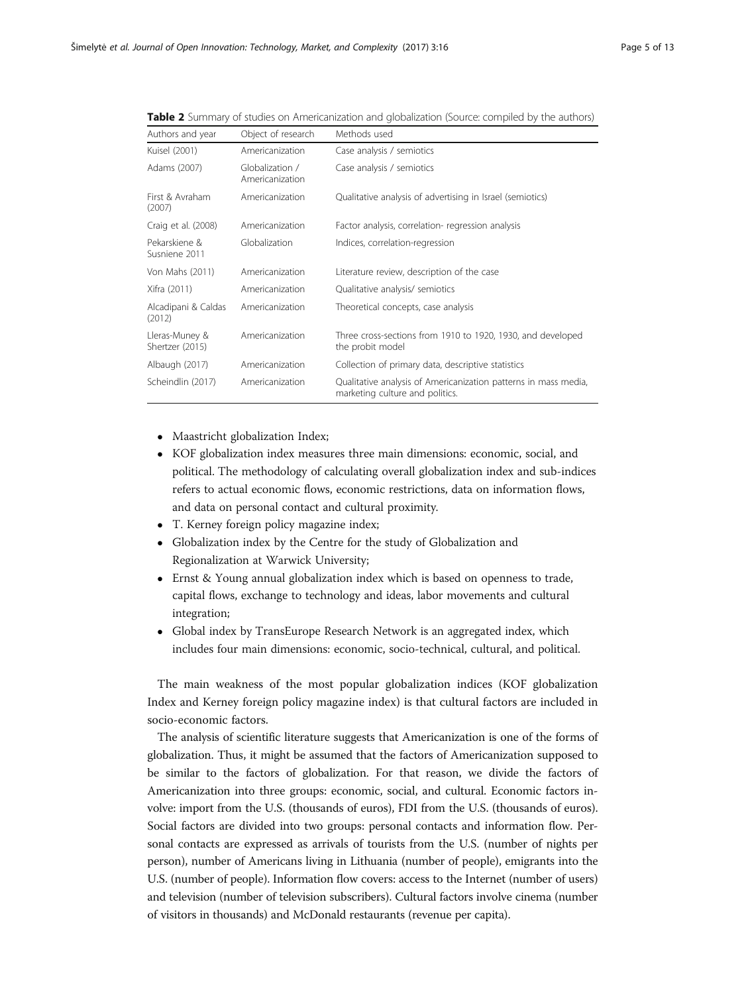| Authors and year                  | Object of research                 | Methods used                                                                                       |
|-----------------------------------|------------------------------------|----------------------------------------------------------------------------------------------------|
| Kuisel (2001)                     | Americanization                    | Case analysis / semiotics                                                                          |
| Adams (2007)                      | Globalization /<br>Americanization | Case analysis / semiotics                                                                          |
| First & Avraham<br>(2007)         | Americanization                    | Qualitative analysis of advertising in Israel (semiotics)                                          |
| Craig et al. (2008)               | Americanization                    | Factor analysis, correlation- regression analysis                                                  |
| Pekarskiene &<br>Susniene 2011    | Globalization                      | Indices, correlation-regression                                                                    |
| Von Mahs (2011)                   | Americanization                    | Literature review, description of the case                                                         |
| Xifra (2011)                      | Americanization                    | Qualitative analysis/ semiotics                                                                    |
| Alcadipani & Caldas<br>(2012)     | Americanization                    | Theoretical concepts, case analysis                                                                |
| Lleras-Muney &<br>Shertzer (2015) | Americanization                    | Three cross-sections from 1910 to 1920, 1930, and developed<br>the probit model                    |
| Albaugh (2017)                    | Americanization                    | Collection of primary data, descriptive statistics                                                 |
| Scheindlin (2017)                 | Americanization                    | Qualitative analysis of Americanization patterns in mass media,<br>marketing culture and politics. |

<span id="page-4-0"></span>**Table 2** Summary of studies on Americanization and globalization (Source: compiled by the authors)

- Maastricht globalization Index;
- KOF globalization index measures three main dimensions: economic, social, and political. The methodology of calculating overall globalization index and sub-indices refers to actual economic flows, economic restrictions, data on information flows, and data on personal contact and cultural proximity.
- T. Kerney foreign policy magazine index;
- Globalization index by the Centre for the study of Globalization and Regionalization at Warwick University;
- Ernst & Young annual globalization index which is based on openness to trade, capital flows, exchange to technology and ideas, labor movements and cultural integration;
- Global index by TransEurope Research Network is an aggregated index, which includes four main dimensions: economic, socio-technical, cultural, and political.

The main weakness of the most popular globalization indices (KOF globalization Index and Kerney foreign policy magazine index) is that cultural factors are included in socio-economic factors.

The analysis of scientific literature suggests that Americanization is one of the forms of globalization. Thus, it might be assumed that the factors of Americanization supposed to be similar to the factors of globalization. For that reason, we divide the factors of Americanization into three groups: economic, social, and cultural. Economic factors involve: import from the U.S. (thousands of euros), FDI from the U.S. (thousands of euros). Social factors are divided into two groups: personal contacts and information flow. Personal contacts are expressed as arrivals of tourists from the U.S. (number of nights per person), number of Americans living in Lithuania (number of people), emigrants into the U.S. (number of people). Information flow covers: access to the Internet (number of users) and television (number of television subscribers). Cultural factors involve cinema (number of visitors in thousands) and McDonald restaurants (revenue per capita).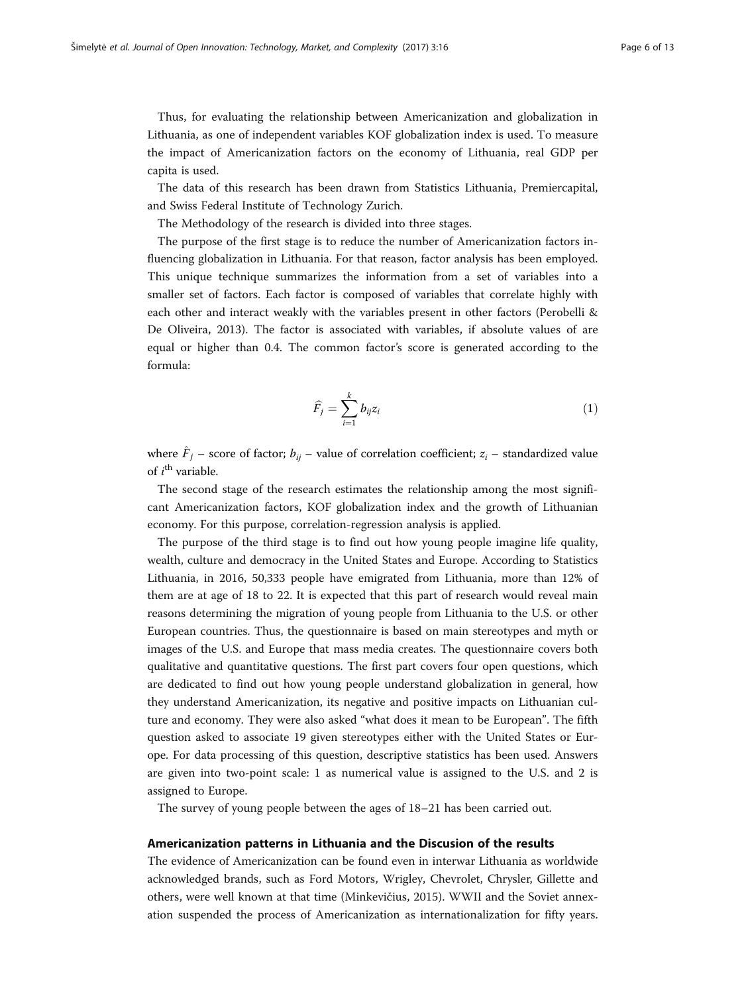Thus, for evaluating the relationship between Americanization and globalization in Lithuania, as one of independent variables KOF globalization index is used. To measure the impact of Americanization factors on the economy of Lithuania, real GDP per capita is used.

The data of this research has been drawn from Statistics Lithuania, Premiercapital, and Swiss Federal Institute of Technology Zurich.

The Methodology of the research is divided into three stages.

The purpose of the first stage is to reduce the number of Americanization factors influencing globalization in Lithuania. For that reason, factor analysis has been employed. This unique technique summarizes the information from a set of variables into a smaller set of factors. Each factor is composed of variables that correlate highly with each other and interact weakly with the variables present in other factors (Perobelli & De Oliveira, [2013\)](#page-12-0). The factor is associated with variables, if absolute values of are equal or higher than 0.4. The common factor's score is generated according to the formula:

$$
\widehat{F}_j = \sum_{i=1}^k b_{ij} z_i
$$
\n(1)

where  $F_j$  – score of factor;  $b_{ij}$  – value of correlation coefficient;  $z_i$  – standardized value of  $i^{\text{th}}$  variable.

The second stage of the research estimates the relationship among the most significant Americanization factors, KOF globalization index and the growth of Lithuanian economy. For this purpose, correlation-regression analysis is applied.

The purpose of the third stage is to find out how young people imagine life quality, wealth, culture and democracy in the United States and Europe. According to Statistics Lithuania, in 2016, 50,333 people have emigrated from Lithuania, more than 12% of them are at age of 18 to 22. It is expected that this part of research would reveal main reasons determining the migration of young people from Lithuania to the U.S. or other European countries. Thus, the questionnaire is based on main stereotypes and myth or images of the U.S. and Europe that mass media creates. The questionnaire covers both qualitative and quantitative questions. The first part covers four open questions, which are dedicated to find out how young people understand globalization in general, how they understand Americanization, its negative and positive impacts on Lithuanian culture and economy. They were also asked "what does it mean to be European". The fifth question asked to associate 19 given stereotypes either with the United States or Europe. For data processing of this question, descriptive statistics has been used. Answers are given into two-point scale: 1 as numerical value is assigned to the U.S. and 2 is assigned to Europe.

The survey of young people between the ages of 18–21 has been carried out.

# Americanization patterns in Lithuania and the Discusion of the results

The evidence of Americanization can be found even in interwar Lithuania as worldwide acknowledged brands, such as Ford Motors, Wrigley, Chevrolet, Chrysler, Gillette and others, were well known at that time (Minkevičius, [2015\)](#page-12-0). WWII and the Soviet annexation suspended the process of Americanization as internationalization for fifty years.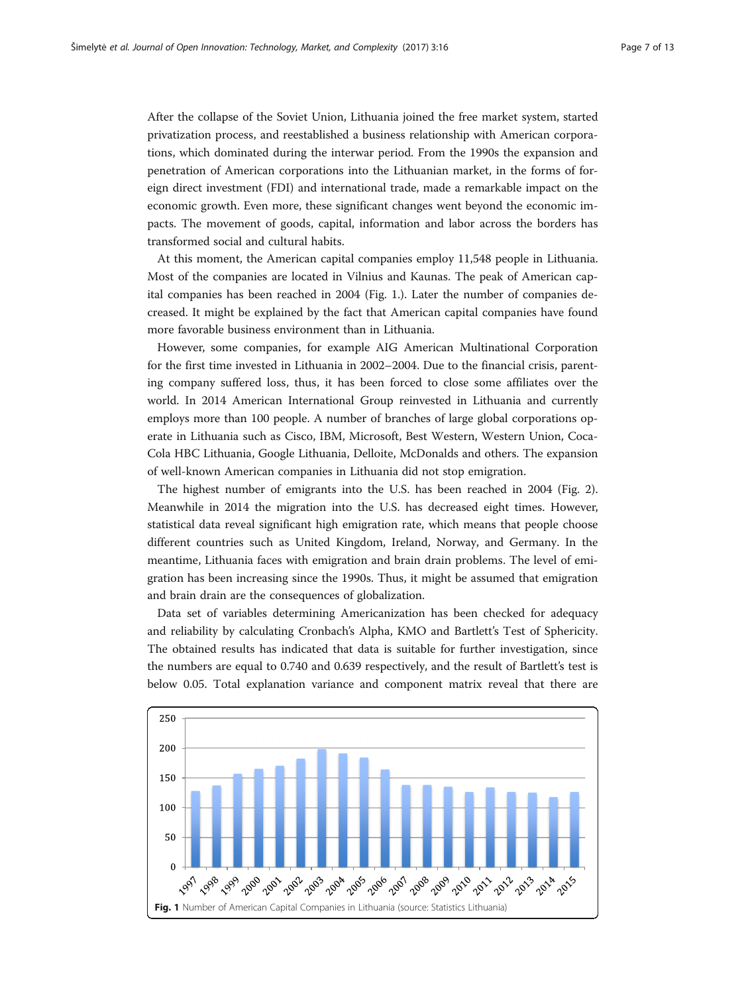After the collapse of the Soviet Union, Lithuania joined the free market system, started privatization process, and reestablished a business relationship with American corporations, which dominated during the interwar period. From the 1990s the expansion and penetration of American corporations into the Lithuanian market, in the forms of foreign direct investment (FDI) and international trade, made a remarkable impact on the economic growth. Even more, these significant changes went beyond the economic impacts. The movement of goods, capital, information and labor across the borders has transformed social and cultural habits.

At this moment, the American capital companies employ 11,548 people in Lithuania. Most of the companies are located in Vilnius and Kaunas. The peak of American capital companies has been reached in 2004 (Fig. 1.). Later the number of companies decreased. It might be explained by the fact that American capital companies have found more favorable business environment than in Lithuania.

However, some companies, for example AIG American Multinational Corporation for the first time invested in Lithuania in 2002–2004. Due to the financial crisis, parenting company suffered loss, thus, it has been forced to close some affiliates over the world. In 2014 American International Group reinvested in Lithuania and currently employs more than 100 people. A number of branches of large global corporations operate in Lithuania such as Cisco, IBM, Microsoft, Best Western, Western Union, Coca-Cola HBC Lithuania, Google Lithuania, Delloite, McDonalds and others. The expansion of well-known American companies in Lithuania did not stop emigration.

The highest number of emigrants into the U.S. has been reached in 2004 (Fig. [2](#page-7-0)). Meanwhile in 2014 the migration into the U.S. has decreased eight times. However, statistical data reveal significant high emigration rate, which means that people choose different countries such as United Kingdom, Ireland, Norway, and Germany. In the meantime, Lithuania faces with emigration and brain drain problems. The level of emigration has been increasing since the 1990s. Thus, it might be assumed that emigration and brain drain are the consequences of globalization.

Data set of variables determining Americanization has been checked for adequacy and reliability by calculating Cronbach's Alpha, KMO and Bartlett's Test of Sphericity. The obtained results has indicated that data is suitable for further investigation, since the numbers are equal to 0.740 and 0.639 respectively, and the result of Bartlett's test is below 0.05. Total explanation variance and component matrix reveal that there are

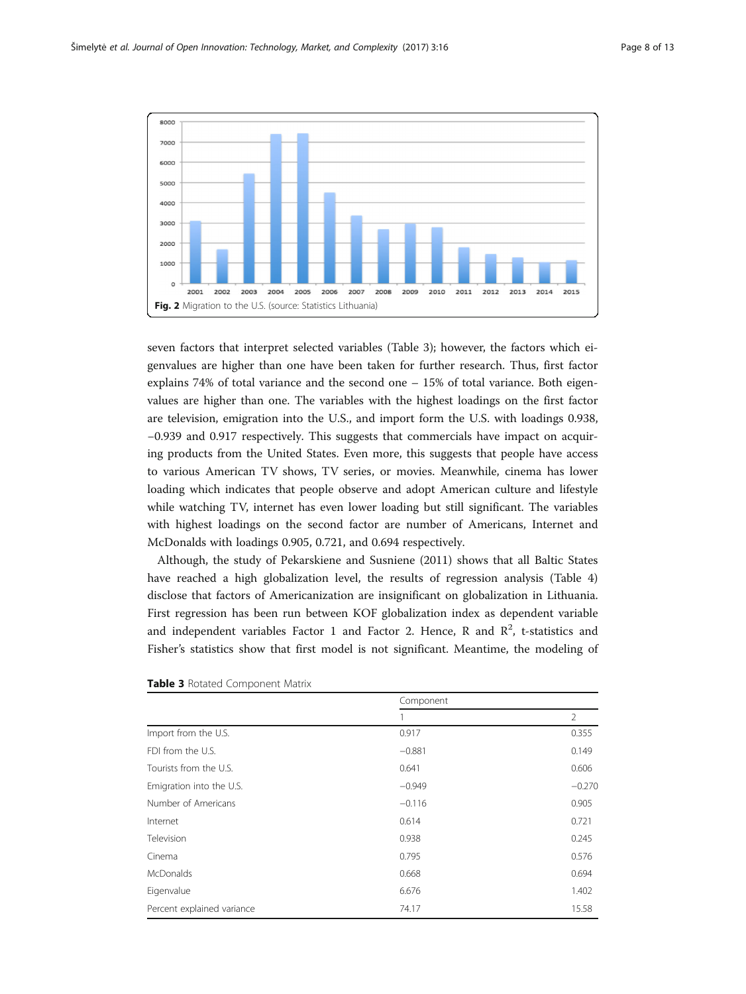<span id="page-7-0"></span>

seven factors that interpret selected variables (Table 3); however, the factors which eigenvalues are higher than one have been taken for further research. Thus, first factor explains 74% of total variance and the second one – 15% of total variance. Both eigenvalues are higher than one. The variables with the highest loadings on the first factor are television, emigration into the U.S., and import form the U.S. with loadings 0.938, −0.939 and 0.917 respectively. This suggests that commercials have impact on acquiring products from the United States. Even more, this suggests that people have access to various American TV shows, TV series, or movies. Meanwhile, cinema has lower loading which indicates that people observe and adopt American culture and lifestyle while watching TV, internet has even lower loading but still significant. The variables with highest loadings on the second factor are number of Americans, Internet and McDonalds with loadings 0.905, 0.721, and 0.694 respectively.

Although, the study of Pekarskiene and Susniene [\(2011](#page-12-0)) shows that all Baltic States have reached a high globalization level, the results of regression analysis (Table [4](#page-8-0)) disclose that factors of Americanization are insignificant on globalization in Lithuania. First regression has been run between KOF globalization index as dependent variable and independent variables Factor 1 and Factor 2. Hence, R and  $\mathbb{R}^2$ , t-statistics and Fisher's statistics show that first model is not significant. Meantime, the modeling of

|                            | Component |          |
|----------------------------|-----------|----------|
|                            |           | 2        |
| Import from the U.S.       | 0.917     | 0.355    |
| FDI from the U.S.          | $-0.881$  | 0.149    |
| Tourists from the U.S.     | 0.641     | 0.606    |
| Emigration into the U.S.   | $-0.949$  | $-0.270$ |
| Number of Americans        | $-0.116$  | 0.905    |
| Internet                   | 0.614     | 0.721    |
| Television                 | 0.938     | 0.245    |
| Cinema                     | 0.795     | 0.576    |
| McDonalds                  | 0.668     | 0.694    |
| Eigenvalue                 | 6.676     | 1.402    |
| Percent explained variance | 74.17     | 15.58    |

| Table 3 Rotated Component Matrix |  |
|----------------------------------|--|
|----------------------------------|--|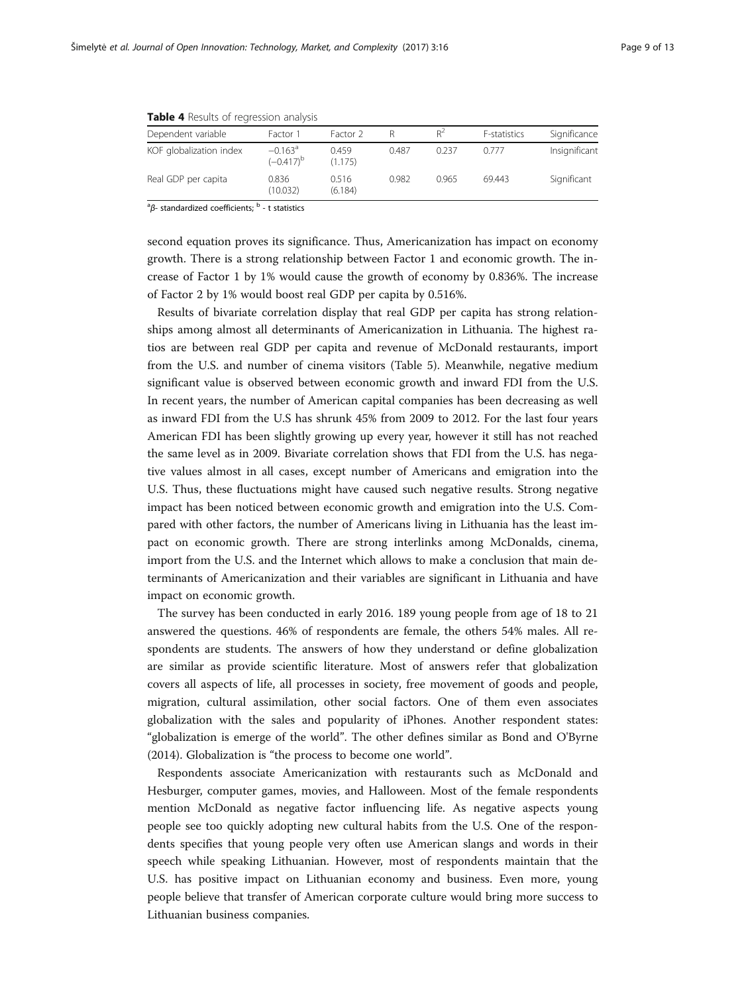| Dependent variable      | Factor 1                                | Factor 2         |       | $R^2$ | F-statistics | Significance  |
|-------------------------|-----------------------------------------|------------------|-------|-------|--------------|---------------|
| KOF globalization index | $-0.163$ <sup>a</sup><br>$(-0.417)^{b}$ | 0.459<br>(1.175) | 0.487 | 0.237 | 0.777        | Insignificant |
| Real GDP per capita     | 0.836<br>(10.032)                       | 0.516<br>(6.184) | 0.982 | 0.965 | 69.443       | Significant   |

<span id="page-8-0"></span>Table 4 Results of regression analysis

<sup>a</sup>β- standardized coefficients;  $<sup>b</sup>$  - t statistics</sup>

second equation proves its significance. Thus, Americanization has impact on economy growth. There is a strong relationship between Factor 1 and economic growth. The increase of Factor 1 by 1% would cause the growth of economy by 0.836%. The increase of Factor 2 by 1% would boost real GDP per capita by 0.516%.

Results of bivariate correlation display that real GDP per capita has strong relationships among almost all determinants of Americanization in Lithuania. The highest ratios are between real GDP per capita and revenue of McDonald restaurants, import from the U.S. and number of cinema visitors (Table [5\)](#page-9-0). Meanwhile, negative medium significant value is observed between economic growth and inward FDI from the U.S. In recent years, the number of American capital companies has been decreasing as well as inward FDI from the U.S has shrunk 45% from 2009 to 2012. For the last four years American FDI has been slightly growing up every year, however it still has not reached the same level as in 2009. Bivariate correlation shows that FDI from the U.S. has negative values almost in all cases, except number of Americans and emigration into the U.S. Thus, these fluctuations might have caused such negative results. Strong negative impact has been noticed between economic growth and emigration into the U.S. Compared with other factors, the number of Americans living in Lithuania has the least impact on economic growth. There are strong interlinks among McDonalds, cinema, import from the U.S. and the Internet which allows to make a conclusion that main determinants of Americanization and their variables are significant in Lithuania and have impact on economic growth.

The survey has been conducted in early 2016. 189 young people from age of 18 to 21 answered the questions. 46% of respondents are female, the others 54% males. All respondents are students. The answers of how they understand or define globalization are similar as provide scientific literature. Most of answers refer that globalization covers all aspects of life, all processes in society, free movement of goods and people, migration, cultural assimilation, other social factors. One of them even associates globalization with the sales and popularity of iPhones. Another respondent states: "globalization is emerge of the world". The other defines similar as Bond and O'Byrne ([2014](#page-12-0)). Globalization is "the process to become one world".

Respondents associate Americanization with restaurants such as McDonald and Hesburger, computer games, movies, and Halloween. Most of the female respondents mention McDonald as negative factor influencing life. As negative aspects young people see too quickly adopting new cultural habits from the U.S. One of the respondents specifies that young people very often use American slangs and words in their speech while speaking Lithuanian. However, most of respondents maintain that the U.S. has positive impact on Lithuanian economy and business. Even more, young people believe that transfer of American corporate culture would bring more success to Lithuanian business companies.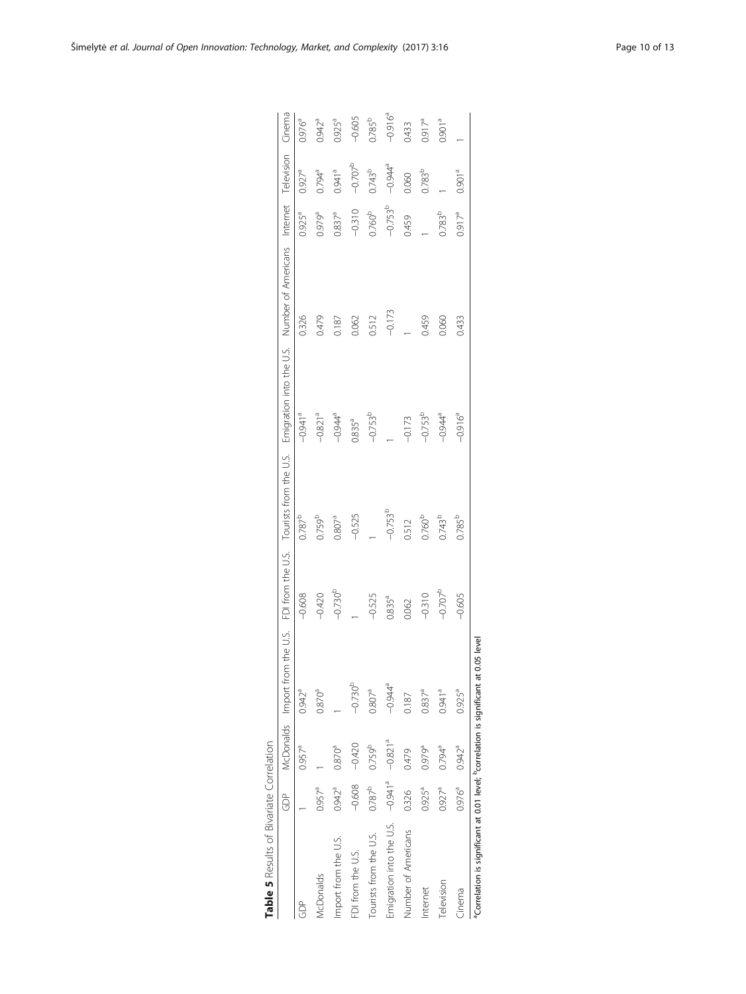<span id="page-9-0"></span>

| Table 5 Results of Bivariate Correlation                                                            |                    |                       |                    |              |                    |                                                                                                                                          |          |                    |                    |                    |
|-----------------------------------------------------------------------------------------------------|--------------------|-----------------------|--------------------|--------------|--------------------|------------------------------------------------------------------------------------------------------------------------------------------|----------|--------------------|--------------------|--------------------|
|                                                                                                     | GDP<br>G           |                       |                    |              |                    | McDonalds Import from the U.S. FDI from the U.S. Tourists from the U.S. Emigration into the U.S. Number of Americans Internet Television |          |                    |                    | Cinema             |
| à                                                                                                   |                    | $0.957^a$             | $0.942^a$          | $-0.608$     | $0.787^{b}$        | $-0.941a$                                                                                                                                | 0.326    | $0.925^{a}$        | 0.927 <sup>a</sup> | 0.976 <sup>a</sup> |
| <b>McDonalds</b>                                                                                    | $0.957^a$          |                       | 0.870 <sup>a</sup> | $-0.420$     | $0.759^{b}$        | $-0.821$ <sup>a</sup>                                                                                                                    | 0.479    | 0.979 <sup>a</sup> | $0.794^{a}$        | 0.942 <sup>a</sup> |
| Import from the U.S.                                                                                | $0.942^a$          | $0.870^{a}$           |                    | $-0.730^{b}$ | $0.807^{a}$        | $-0.944^{\circ}$                                                                                                                         | 0.187    | 0.837 <sup>a</sup> | 0.941 <sup>a</sup> | 0.925 <sup>a</sup> |
| FDI from the U.S.                                                                                   | $-0.608$           | $-0.420$              | $-0.730^{p}$       |              | $-0.525$           | 0.835ª                                                                                                                                   | 0.062    | $-0.310$           | $-0.707^{b}$       | $-0.605$           |
| Tourists from the U.S.                                                                              | $0.787^{b}$        | 0.759 <sup>b</sup>    | 0.807 <sup>a</sup> | $-0.525$     |                    | $-0.753^{b}$                                                                                                                             | 0.512    | 0.760 <sup>b</sup> | 0.743 <sup>b</sup> | 0.785b             |
| Emigration into the U.S. $-0.941$ <sup>a</sup>                                                      |                    | $-0.821$ <sup>a</sup> | $-0.944^{\circ}$   | $0.835^{a}$  | $-0.753^{b}$       |                                                                                                                                          | $-0.173$ | $-0.753^{b}$       | $-0.944^{\circ}$   | $-0.9163$          |
| Number of Americans                                                                                 | 0.326              | 0.479                 | 0.187              | 0.062        | 0.512              | $-0.173$                                                                                                                                 |          | 0.459              | 0.060              | 0.433              |
| Internet                                                                                            | $0.925^{a}$        | $0.979^{a}$           | 0.837 <sup>a</sup> | $-0.310$     | 0.760b             | $-0.753^{b}$                                                                                                                             | 0.459    |                    | 0.783b             | $0.917^{a}$        |
| Television                                                                                          | $0.927^a$          | $0.794^{a}$           | 0.941 <sup>a</sup> | $-0.707^{b}$ | 0.743b             | $-0.944^{\circ}$                                                                                                                         | 0.060    | 0.783 <sup>b</sup> |                    | 0.901 <sup>a</sup> |
| Cinema                                                                                              | 0.976 <sup>a</sup> | $0.942^{a}$           | 0.925 <sup>a</sup> | $-0.605$     | 0.785 <sup>b</sup> | $-0.9163$                                                                                                                                | 0.433    | $0.917^{a}$        | 0.901 <sup>a</sup> |                    |
| <sup>a</sup> Correlation is significant at 0.01 level; <sup>p</sup> correlation is significant at ( |                    |                       | O5 level           |              |                    |                                                                                                                                          |          |                    |                    |                    |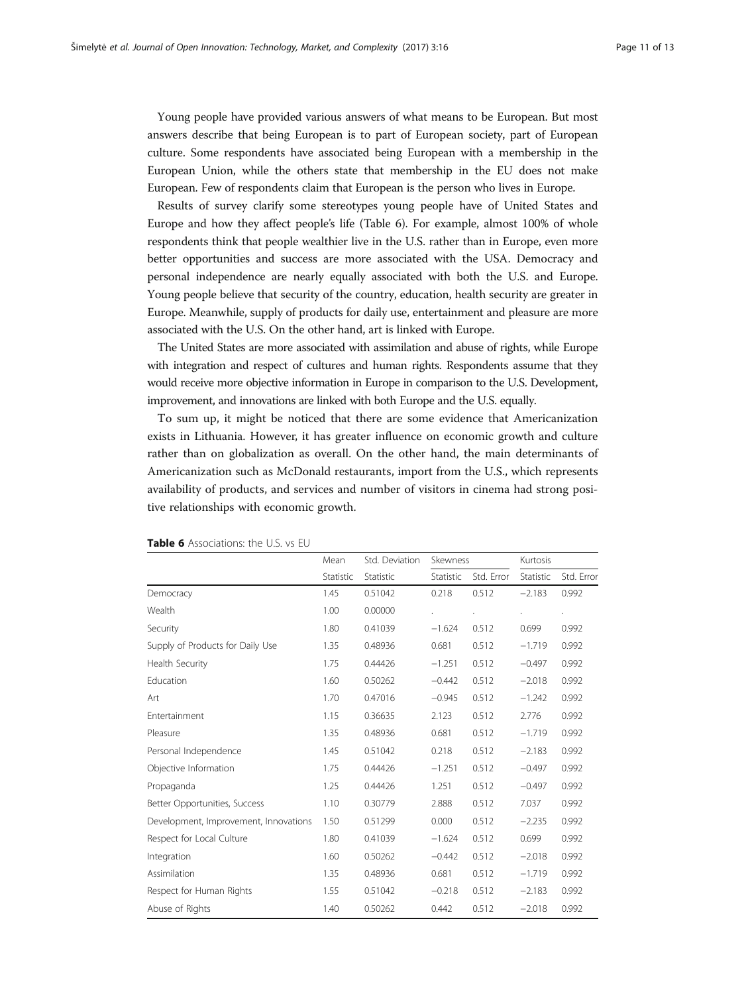Young people have provided various answers of what means to be European. But most answers describe that being European is to part of European society, part of European culture. Some respondents have associated being European with a membership in the European Union, while the others state that membership in the EU does not make European. Few of respondents claim that European is the person who lives in Europe.

Results of survey clarify some stereotypes young people have of United States and Europe and how they affect people's life (Table 6). For example, almost 100% of whole respondents think that people wealthier live in the U.S. rather than in Europe, even more better opportunities and success are more associated with the USA. Democracy and personal independence are nearly equally associated with both the U.S. and Europe. Young people believe that security of the country, education, health security are greater in Europe. Meanwhile, supply of products for daily use, entertainment and pleasure are more associated with the U.S. On the other hand, art is linked with Europe.

The United States are more associated with assimilation and abuse of rights, while Europe with integration and respect of cultures and human rights. Respondents assume that they would receive more objective information in Europe in comparison to the U.S. Development, improvement, and innovations are linked with both Europe and the U.S. equally.

To sum up, it might be noticed that there are some evidence that Americanization exists in Lithuania. However, it has greater influence on economic growth and culture rather than on globalization as overall. On the other hand, the main determinants of Americanization such as McDonald restaurants, import from the U.S., which represents availability of products, and services and number of visitors in cinema had strong positive relationships with economic growth.

|                                       | Mean      | Std. Deviation | Skewness  |            | Kurtosis  |            |
|---------------------------------------|-----------|----------------|-----------|------------|-----------|------------|
|                                       | Statistic | Statistic      | Statistic | Std. Error | Statistic | Std. Error |
| Democracy                             | 1.45      | 0.51042        | 0.218     | 0.512      | $-2.183$  | 0.992      |
| Wealth                                | 1.00      | 0.00000        |           |            |           |            |
| Security                              | 1.80      | 0.41039        | $-1.624$  | 0.512      | 0.699     | 0.992      |
| Supply of Products for Daily Use      | 1.35      | 0.48936        | 0.681     | 0.512      | $-1.719$  | 0.992      |
| Health Security                       | 1.75      | 0.44426        | $-1.251$  | 0.512      | $-0.497$  | 0.992      |
| Education                             | 1.60      | 0.50262        | $-0.442$  | 0.512      | $-2.018$  | 0.992      |
| Art                                   | 1.70      | 0.47016        | $-0.945$  | 0.512      | $-1.242$  | 0.992      |
| Entertainment                         | 1.15      | 0.36635        | 2.123     | 0.512      | 2.776     | 0.992      |
| Pleasure                              | 1.35      | 0.48936        | 0.681     | 0.512      | $-1.719$  | 0.992      |
| Personal Independence                 | 1.45      | 0.51042        | 0.218     | 0.512      | $-2.183$  | 0.992      |
| Objective Information                 | 1.75      | 0.44426        | $-1.251$  | 0.512      | $-0.497$  | 0.992      |
| Propaganda                            | 1.25      | 0.44426        | 1.251     | 0.512      | $-0.497$  | 0.992      |
| Better Opportunities, Success         | 1.10      | 0.30779        | 2.888     | 0.512      | 7.037     | 0.992      |
| Development, Improvement, Innovations | 1.50      | 0.51299        | 0.000     | 0.512      | $-2.235$  | 0.992      |
| Respect for Local Culture             | 1.80      | 0.41039        | $-1.624$  | 0.512      | 0.699     | 0.992      |
| Integration                           | 1.60      | 0.50262        | $-0.442$  | 0.512      | $-2.018$  | 0.992      |
| Assimilation                          | 1.35      | 0.48936        | 0.681     | 0.512      | $-1.719$  | 0.992      |
| Respect for Human Rights              | 1.55      | 0.51042        | $-0.218$  | 0.512      | $-2.183$  | 0.992      |
| Abuse of Rights                       | 1.40      | 0.50262        | 0.442     | 0.512      | $-2.018$  | 0.992      |

#### Table 6 Associations: the U.S. vs EU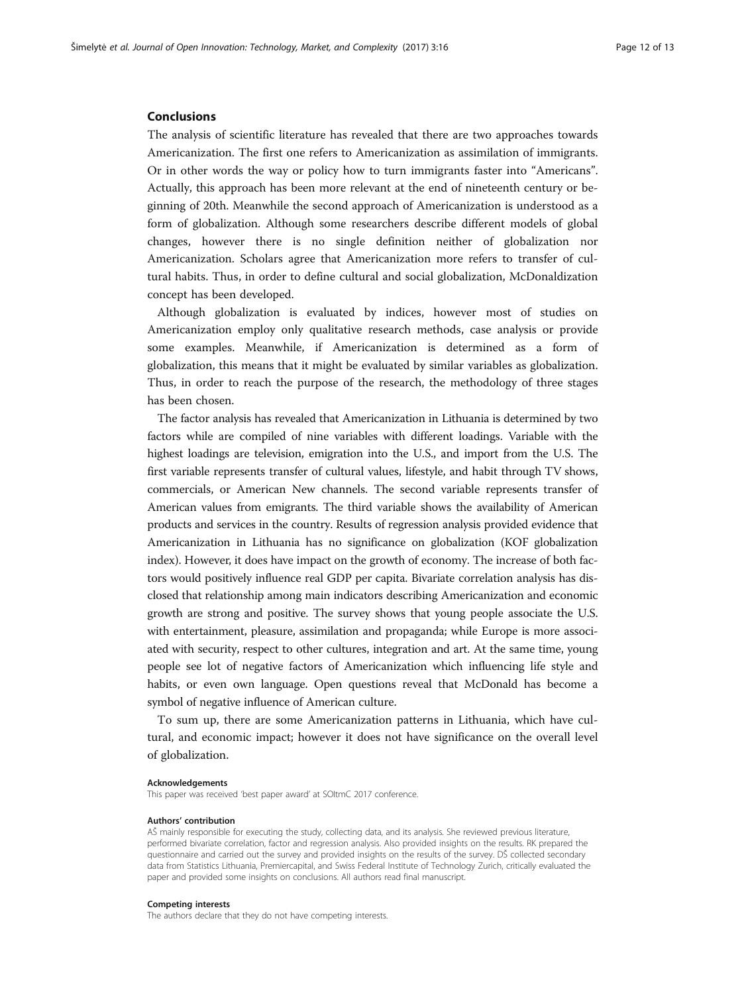## Conclusions

The analysis of scientific literature has revealed that there are two approaches towards Americanization. The first one refers to Americanization as assimilation of immigrants. Or in other words the way or policy how to turn immigrants faster into "Americans". Actually, this approach has been more relevant at the end of nineteenth century or beginning of 20th. Meanwhile the second approach of Americanization is understood as a form of globalization. Although some researchers describe different models of global changes, however there is no single definition neither of globalization nor Americanization. Scholars agree that Americanization more refers to transfer of cultural habits. Thus, in order to define cultural and social globalization, McDonaldization concept has been developed.

Although globalization is evaluated by indices, however most of studies on Americanization employ only qualitative research methods, case analysis or provide some examples. Meanwhile, if Americanization is determined as a form of globalization, this means that it might be evaluated by similar variables as globalization. Thus, in order to reach the purpose of the research, the methodology of three stages has been chosen.

The factor analysis has revealed that Americanization in Lithuania is determined by two factors while are compiled of nine variables with different loadings. Variable with the highest loadings are television, emigration into the U.S., and import from the U.S. The first variable represents transfer of cultural values, lifestyle, and habit through TV shows, commercials, or American New channels. The second variable represents transfer of American values from emigrants. The third variable shows the availability of American products and services in the country. Results of regression analysis provided evidence that Americanization in Lithuania has no significance on globalization (KOF globalization index). However, it does have impact on the growth of economy. The increase of both factors would positively influence real GDP per capita. Bivariate correlation analysis has disclosed that relationship among main indicators describing Americanization and economic growth are strong and positive. The survey shows that young people associate the U.S. with entertainment, pleasure, assimilation and propaganda; while Europe is more associated with security, respect to other cultures, integration and art. At the same time, young people see lot of negative factors of Americanization which influencing life style and habits, or even own language. Open questions reveal that McDonald has become a symbol of negative influence of American culture.

To sum up, there are some Americanization patterns in Lithuania, which have cultural, and economic impact; however it does not have significance on the overall level of globalization.

#### Acknowledgements

This paper was received 'best paper award' at SOItmC 2017 conference.

#### Authors' contribution

AŠ mainly responsible for executing the study, collecting data, and its analysis. She reviewed previous literature, performed bivariate correlation, factor and regression analysis. Also provided insights on the results. RK prepared the questionnaire and carried out the survey and provided insights on the results of the survey. DŠ collected secondary data from Statistics Lithuania, Premiercapital, and Swiss Federal Institute of Technology Zurich, critically evaluated the paper and provided some insights on conclusions. All authors read final manuscript.

#### Competing interests

The authors declare that they do not have competing interests.